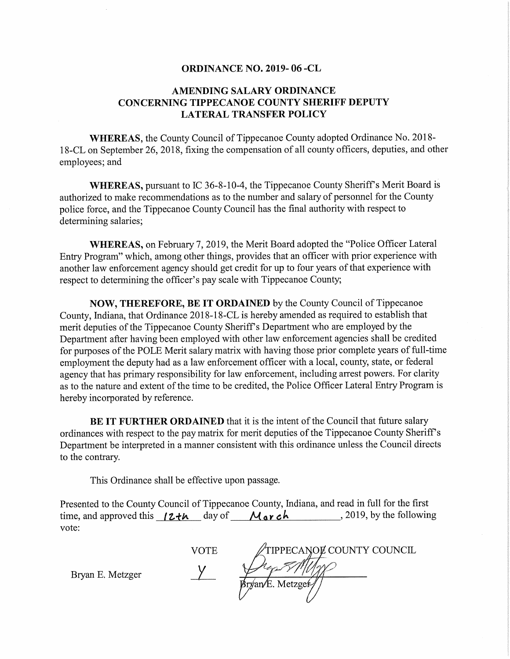## ORDINANCE NO. 2019- 06 -CL

## AMENDING SALARY ORDINANCE CONCERNING TIPPECANOE COUNTY SHERIFF DEPUTY LATERAL TRANSFER POLICY

WHEREAS, the County Council of Tippecanoe County adopted Ordinance No. 2018-18—CL on September 26, 2018, fixing the compensation of all county officers, deputies, and other employees; and

WHEREAS, pursuant to IC 36-8-10-4, the Tippecanoe County Sheriff's Merit Board is authorized to make recommendations as to the number and salary of personnel for the County police force, and the Tippecanoe County Council has the final authority with respect to determining salaries;

WHEREAS, on February 7, 2019, the Merit Board adopted the "Police Officer Lateral Entry Program" which, among other things, provides that an officer with prior experience with another law enforcement agency should get credit for up to four years of that experience with respect to determining the officer's pay scale with Tippecanoe County;

NOW, THEREFORE, BE IT ORDAINED by the County Council of Tippecanoe County, Indiana, that Ordinance 2018-18-CL is hereby amended as required to establish that merit deputies of the Tippecanoe County Sheriff's Department who are employed by the Department after having been employed with other law enforcement agencies shall be credited for purposes of the POLE Merit salary matrix with having those prior complete years of full-time employment the deputy had as a law enforcement officer with a local, county, state, or federal agency that has primary responsibility for law enforcement, including arrest powers. For clarity as to the nature and extent of the time to be credited, the Police Officer Lateral Entry Program is hereby incorporated by reference.

BE IT FURTHER ORDAINED that it is the intent of the Council that future salary ordinances with respect to the pay matrix for merit deputies of the Tippecanoe County Sheriff's Department be interpreted in <sup>a</sup> manner consistent with this ordinance unless the Council directs to the contrary.

This Ordinance shall be effective upon passage.

Presented to the County Council of Tippecanoe County, Indiana, and read in full for the first time, and approved this  $\sqrt{2+h}$  day of  $\sqrt{4 \cdot 2h}$ , 2019, by the following vote:

TIPPECANOL COUNTY COUNCIL **VOTE** Bryan E. Metzger  $\gamma$   $\gamma$   $\gamma$   $\gamma$  $Bryan/E. Metzgef/$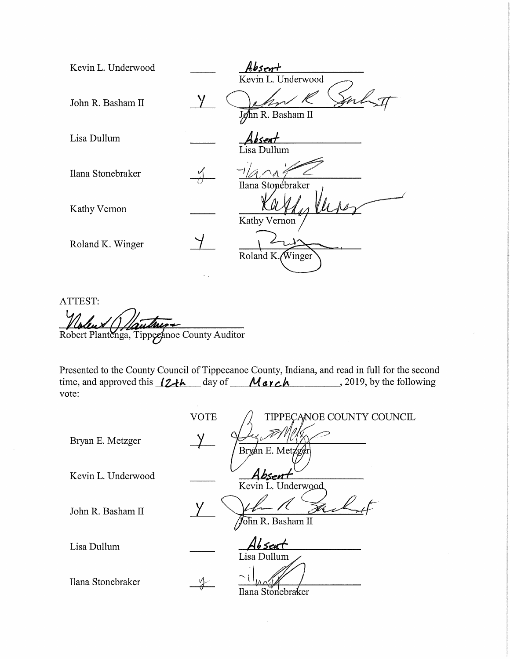| Kevin L. Underwood |               | Absent                                  |
|--------------------|---------------|-----------------------------------------|
| John R. Basham II  |               | Kevin L. Underwood<br>John R. Basham II |
| Lisa Dullum        |               | <u>isent</u><br>Lisa Dullum             |
| Ilana Stonebraker  |               | Ilana Stopebraker                       |
| Kathy Vernon       |               | Kathy Vernon                            |
| Roland K. Winger   |               | Roland K. Winger                        |
|                    | $\sim$ $\sim$ |                                         |

ATTEST:  $\overline{\mathcal{U}}$ *Children* (*Typuzouz* – Contractor Contractor Contractor Contractor Contractor Contractor Contractor Contractor Co ga, Tippezanoe County Auditor

Presented to the County Council of Tippecanoe County, Indiana, and read in full for the second time, and approved this  $12+h$  day of March , 2019, by the following vote:

VOTE TIPPECANOE COUNTY COUNCIL Bryan E. Metzger  $\frac{1}{\sqrt{2\pi}} \sqrt{\frac{3}{2\pi}}$ Kevin L. Underwood Kevin L. Underwood  $\prime$  1 1 1 John R. Basham II  $\sqrt{\sin R}$ . Basham II Lisa Dullum  $\overrightarrow{Ab}$  sent Lisa Dullum Ilana Stonebraker lIlana Stonebraker